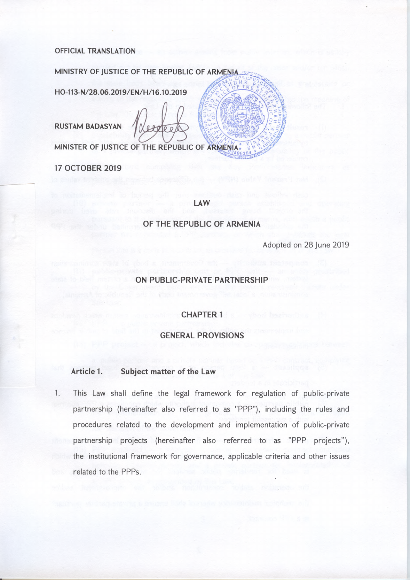### **OFFICIAL TRANSLATION**

MINISTRY OF JUSTICE OF THE REPUBLIC OF ARMENIA

HO-113-N/28.06.2019/EN/H/16.10.2019

**RUSTAM BADASYAN** 

 $4000$ 

MINISTER OF JUSTICE OF THE REPUBLIC OF ARMENIA:

**17 OCTOBER 2019** 

#### **LAW**

### OF THE REPUBLIC OF ARMENIA

Adopted on 28 June 2019

### ON PUBLIC-PRIVATE PARTNERSHIP

### **CHAPTER 1**

### **GENERAL PROVISIONS**

#### Article 1. Subject matter of the Law

1. This Law shall define the legal framework for regulation of public-private partnership (hereinafter also referred to as "PPP"), including the rules and procedures related to the development and implementation of public-private partnership projects (hereinafter also referred to as "PPP projects"), the institutional framework for governance, applicable criteria and other issues related to the PPPs.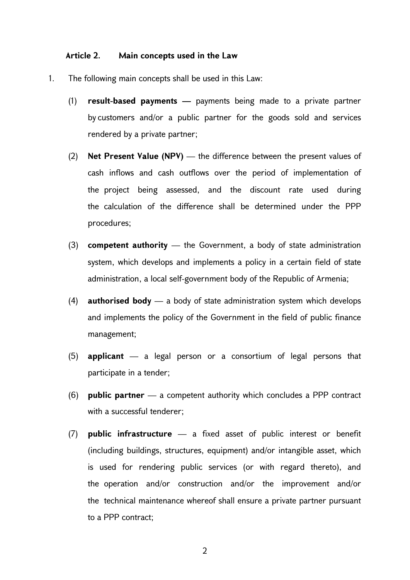### **Article 2. Main concepts used in the Law**

- 1. The following main concepts shall be used in this Law:
	- (1) **result-based payments** payments being made to a private partner by customers and/or a public partner for the goods sold and services rendered by a private partner;
	- (2) **Net Present Value (NPV)** the difference between the present values of cash inflows and cash outflows over the period of implementation of the project being assessed, and the discount rate used during the calculation of the difference shall be determined under the PPP procedures;
	- (3) **competent authority** the Government, a body of state administration system, which develops and implements a policy in a certain field of state administration, a local self-government body of the Republic of Armenia;
	- (4) **authorised body** a body of state administration system which develops and implements the policy of the Government in the field of public finance management;
	- (5) **applicant** a legal person or a consortium of legal persons that participate in a tender;
	- (6) **public partner** a competent authority which concludes a PPP contract with a successful tenderer;
	- (7) **public infrastructure** a fixed asset of public interest or benefit (including buildings, structures, equipment) and/or intangible asset, which is used for rendering public services (or with regard thereto), and the operation and/or construction and/or the improvement and/or the technical maintenance whereof shall ensure a private partner pursuant to a PPP contract;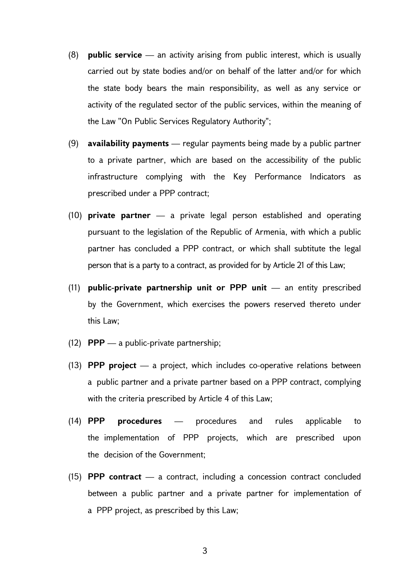- (8) **public service** an activity arising from public interest, which is usually carried out by state bodies and/or on behalf of the latter and/or for which the state body bears the main responsibility, as well as any service or activity of the regulated sector of the public services, within the meaning of the Law ''On Public Services Regulatory Authority";
- (9) **availability payments** regular payments being made by a public partner to a private partner, which are based on the accessibility of the public infrastructure complying with the Key Performance Indicators as prescribed under a PPP contract;
- (10) **private partner** a private legal person established and operating pursuant to the legislation of the Republic of Armenia, with which a public partner has concluded a PPP contract, or which shall subtitute the legal person that is a party to a contract, as provided for by Article 21 of this Law;
- (11) **public-private partnership unit or PPP unit** an entity prescribed by the Government, which exercises the powers reserved thereto under this Law;
- (12) **PPP** a public-private partnership;
- (13) **PPP project** a project, which includes co-operative relations between a public partner and a private partner based on a PPP contract, complying with the criteria prescribed by Article 4 of this Law;
- (14) **PPP procedures** procedures and rules applicable to the implementation of PPP projects, which are prescribed upon the decision of the Government;
- (15) **PPP contract**  a contract, including a concession contract concluded between a public partner and a private partner for implementation of a PPP project, as prescribed by this Law;

3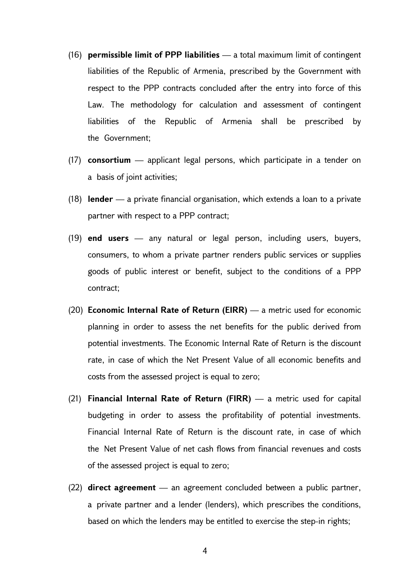- (16) **permissible limit of PPP liabilities**  a total maximum limit of contingent liabilities of the Republic of Armenia, prescribed by the Government with respect to the PPP contracts concluded after the entry into force of this Law. The methodology for calculation and assessment of contingent liabilities of the Republic of Armenia shall be prescribed by the Government;
- (17) **consortium** applicant legal persons, which participate in a tender on a basis of joint activities;
- (18) **lender** a private financial organisation, which extends a loan to a private partner with respect to a PPP contract;
- (19) **end users** any natural or legal person, including users, buyers, consumers, to whom a private partner renders public services or supplies goods of public interest or benefit, subject to the conditions of a PPP contract;
- (20) **Economic Internal Rate of Return (EIRR)** a metric used for economic planning in order to assess the net benefits for the public derived from potential investments. The Economic Internal Rate of Return is the discount rate, in case of which the Net Present Value of all economic benefits and costs from the assessed project is equal to zero;
- (21) **Financial Internal Rate of Return (FIRR)** a metric used for capital budgeting in order to assess the profitability of potential investments. Financial Internal Rate of Return is the discount rate, in case of which the Net Present Value of net cash flows from financial revenues and costs of the assessed project is equal to zero;
- (22) **direct agreement** an agreement concluded between a public partner, a private partner and a lender (lenders), which prescribes the conditions, based on which the lenders may be entitled to exercise the step-in rights;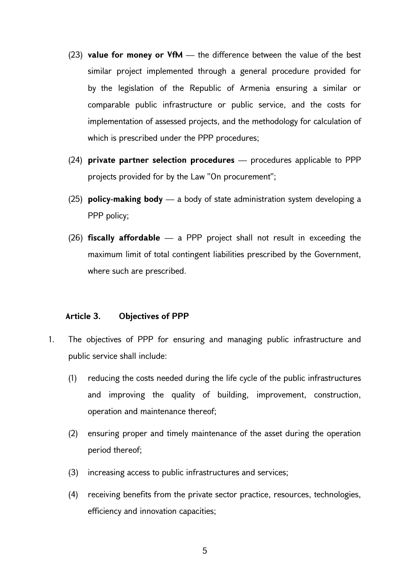- (23) **value for money or VfM** the difference between the value of the best similar project implemented through a general procedure provided for by the legislation of the Republic of Armenia ensuring a similar or comparable public infrastructure or public service, and the costs for implementation of assessed projects, and the methodology for calculation of which is prescribed under the PPP procedures;
- (24) **private partner selection procedures**  procedures applicable to PPP projects provided for by the Law ''On procurement'';
- (25) **policy-making body** a body of state administration system developing a PPP policy;
- (26) **fiscally affordable** a PPP project shall not result in exceeding the maximum limit of total contingent liabilities prescribed by the Government, where such are prescribed.

# **Article 3. Objectives of PPP**

- 1. The objectives of PPP for ensuring and managing public infrastructure and public service shall include:
	- (1) reducing the costs needed during the life cycle of the public infrastructures and improving the quality of building, improvement, construction, operation and maintenance thereof;
	- (2) ensuring proper and timely maintenance of the asset during the operation period thereof;
	- (3) increasing access to public infrastructures and services;
	- (4) receiving benefits from the private sector practice, resources, technologies, efficiency and innovation capacities;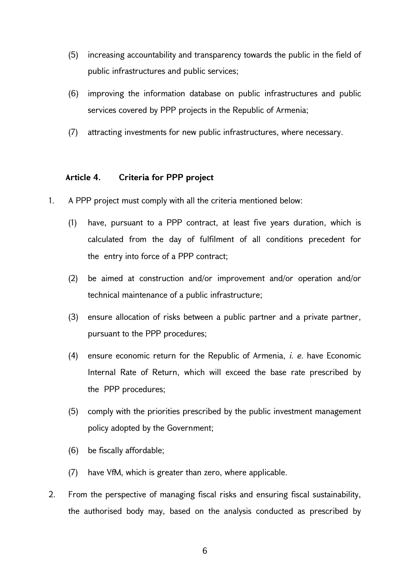- (5) increasing accountability and transparency towards the public in the field of public infrastructures and public services;
- (6) improving the information database on public infrastructures and public services covered by PPP projects in the Republic of Armenia;
- (7) attracting investments for new public infrastructures, where necessary.

# **Article 4. Criteria for PPP project**

- 1. A PPP project must comply with all the criteria mentioned below:
	- (1) have, pursuant to a PPP contract, at least five years duration, which is calculated from the day of fulfilment of all conditions precedent for the entry into force of a PPP contract;
	- (2) be aimed at construction and/or improvement and/or operation and/or technical maintenance of a public infrastructure;
	- (3) ensure allocation of risks between a public partner and a private partner, pursuant to the PPP procedures;
	- (4) ensure economic return for the Republic of Armenia, *i. e.* have Economic Internal Rate of Return, which will exceed the base rate prescribed by the PPP procedures;
	- (5) comply with the priorities prescribed by the public investment management policy adopted by the Government;
	- (6) be fiscally affordable;
	- (7) have VfM, which is greater than zero, where applicable.
- 2. From the perspective of managing fiscal risks and ensuring fiscal sustainability, the authorised body may, based on the analysis conducted as prescribed by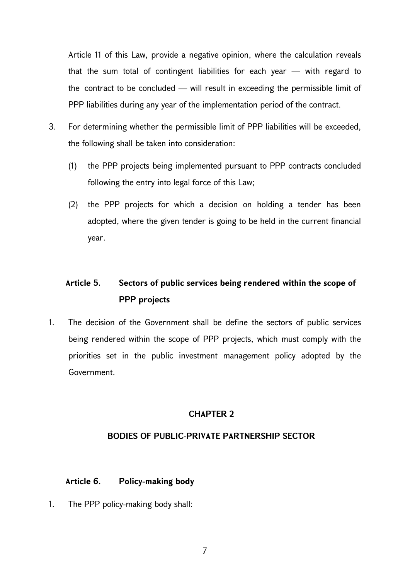Article 11 of this Law, provide a negative opinion, where the calculation reveals that the sum total of contingent liabilities for each year — with regard to the contract to be concluded — will result in exceeding the permissible limit of PPP liabilities during any year of the implementation period of the contract.

- 3. For determining whether the permissible limit of PPP liabilities will be exceeded, the following shall be taken into consideration:
	- (1) the PPP projects being implemented pursuant to PPP contracts concluded following the entry into legal force of this Law;
	- (2) the PPP projects for which a decision on holding a tender has been adopted, where the given tender is going to be held in the current financial year.

# **Article 5. Sectors of public services being rendered within the scope of PPP projects**

1. The decision of the Government shall be define the sectors of public services being rendered within the scope of PPP projects, which must comply with the priorities set in the public investment management policy adopted by the Government.

# **CHAPTER 2**

# **BODIES OF PUBLIC-PRIVATE PARTNERSHIP SECTOR**

# **Article 6. Policy-making body**

1. The PPP policy-making body shall: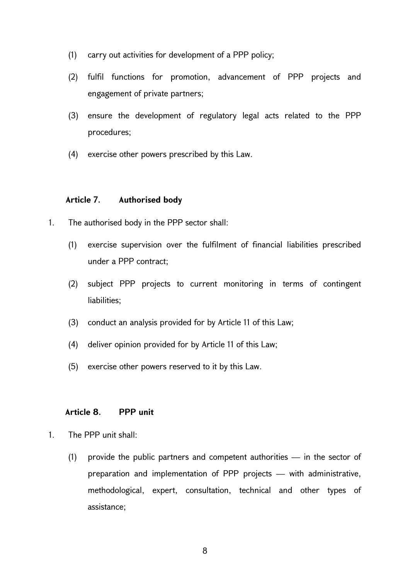- (1) carry out activities for development of a PPP policy;
- (2) fulfil functions for promotion, advancement of PPP projects and engagement of private partners;
- (3) ensure the development of regulatory legal acts related to the PPP procedures;
- (4) exercise other powers prescribed by this Law.

### **Article 7. Authorised body**

- 1. The authorised body in the PPP sector shall:
	- (1) exercise supervision over the fulfilment of financial liabilities prescribed under a PPP contract;
	- (2) subject PPP projects to current monitoring in terms of contingent liabilities;
	- (3) conduct an analysis provided for by Article 11 of this Law;
	- (4) deliver opinion provided for by Article 11 of this Law;
	- (5) exercise other powers reserved to it by this Law.

# **Article 8. PPP unit**

- 1. The PPP unit shall:
	- (1) provide the public partners and competent authorities in the sector of preparation and implementation of PPP projects — with administrative, methodological, expert, consultation, technical and other types of assistance;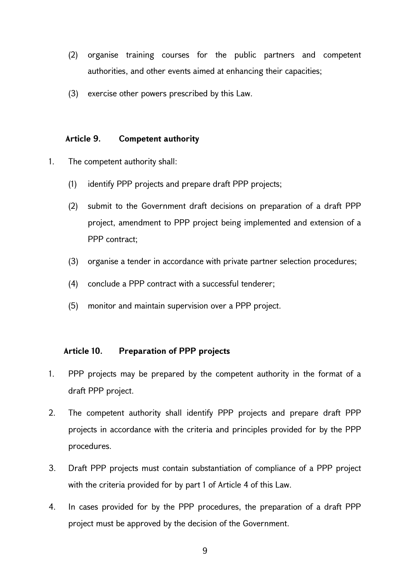- (2) organise training courses for the public partners and competent authorities, and other events aimed at enhancing their capacities;
- (3) exercise other powers prescribed by this Law.

# **Article 9. Competent authority**

- 1. The competent authority shall:
	- (1) identify PPP projects and prepare draft PPP projects;
	- (2) submit to the Government draft decisions on preparation of a draft PPP project, amendment to PPP project being implemented and extension of a PPP contract:
	- (3) organise a tender in accordance with private partner selection procedures;
	- (4) conclude a PPP contract with a successful tenderer;
	- (5) monitor and maintain supervision over a PPP project.

# **Article 10. Preparation of PPP projects**

- 1. PPP projects may be prepared by the competent authority in the format of a draft PPP project.
- 2. The competent authority shall identify PPP projects and prepare draft PPP projects in accordance with the criteria and principles provided for by the PPP procedures.
- 3. Draft PPP projects must contain substantiation of compliance of a PPP project with the criteria provided for by part 1 of Article 4 of this Law.
- 4. In cases provided for by the PPP procedures, the preparation of a draft PPP project must be approved by the decision of the Government.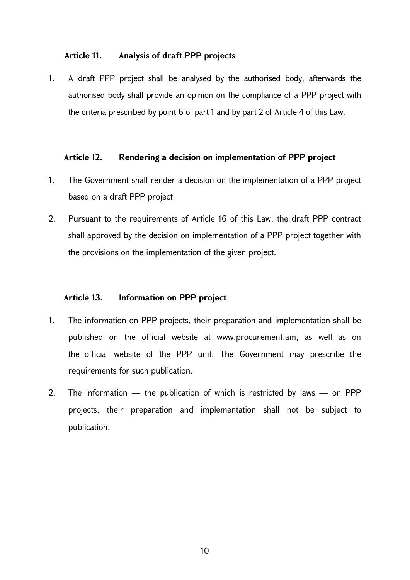# **Article 11. Analysis of draft PPP projects**

1. A draft PPP project shall be analysed by the authorised body, afterwards the authorised body shall provide an opinion on the compliance of a PPP project with the criteria prescribed by point 6 of part 1 and by part 2 of Article 4 of this Law.

### **Article 12. Rendering a decision on implementation of PPP project**

- 1. The Government shall render a decision on the implementation of a PPP project based on a draft PPP project.
- 2. Pursuant to the requirements of Article 16 of this Law, the draft PPP contract shall approved by the decision on implementation of a PPP project together with the provisions on the implementation of the given project.

# **Article 13. Information on PPP project**

- 1. The information on PPP projects, their preparation and implementation shall be published on the official website at www.procurement.am, as well as on the official website of the PPP unit. The Government may prescribe the requirements for such publication.
- 2. The information the publication of which is restricted by laws on PPP projects, their preparation and implementation shall not be subject to publication.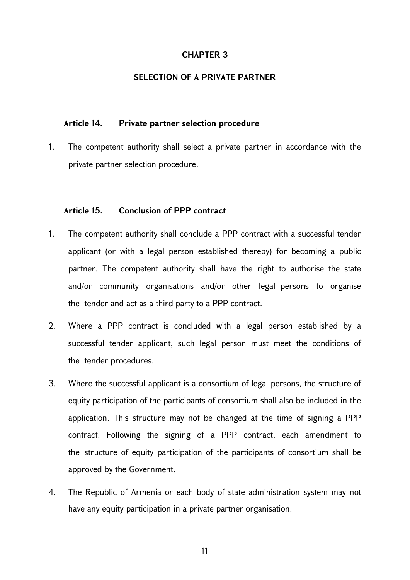### **SELECTION OF A PRIVATE PARTNER**

### **Article 14. Private partner selection procedure**

1. The competent authority shall select a private partner in accordance with the private partner selection procedure.

### **Article 15. Conclusion of PPP contract**

- 1. The competent authority shall conclude a PPP contract with a successful tender applicant (or with a legal person established thereby) for becoming a public partner. The competent authority shall have the right to authorise the state and/or community organisations and/or other legal persons to organise the tender and act as a third party to a PPP contract.
- 2. Where a PPP contract is concluded with a legal person established by a successful tender applicant, such legal person must meet the conditions of the tender procedures.
- 3. Where the successful applicant is a consortium of legal persons, the structure of equity participation of the participants of consortium shall also be included in the application. This structure may not be changed at the time of signing a PPP contract. Following the signing of a PPP contract, each amendment to the structure of equity participation of the participants of consortium shall be approved by the Government.
- 4. The Republic of Armenia or each body of state administration system may not have any equity participation in a private partner organisation.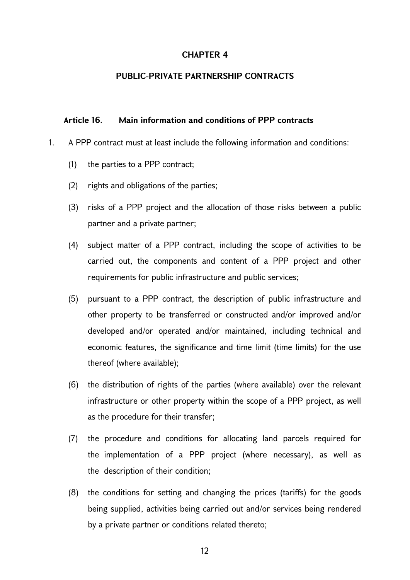### **PUBLIC-PRIVATE PARTNERSHIP CONTRACTS**

### **Article 16. Main information and conditions of PPP contracts**

- 1. A PPP contract must at least include the following information and conditions:
	- (1) the parties to a PPP contract;
	- (2) rights and obligations of the parties;
	- (3) risks of a PPP project and the allocation of those risks between a public partner and a private partner;
	- (4) subject matter of a PPP contract, including the scope of activities to be carried out, the components and content of a PPP project and other requirements for public infrastructure and public services;
	- (5) pursuant to a PPP contract, the description of public infrastructure and other property to be transferred or constructed and/or improved and/or developed and/or operated and/or maintained, including technical and economic features, the significance and time limit (time limits) for the use thereof (where available);
	- (6) the distribution of rights of the parties (where available) over the relevant infrastructure or other property within the scope of a PPP project, as well as the procedure for their transfer;
	- (7) the procedure and conditions for allocating land parcels required for the implementation of a PPP project (where necessary), as well as the description of their condition;
	- (8) the conditions for setting and changing the prices (tariffs) for the goods being supplied, activities being carried out and/or services being rendered by a private partner or conditions related thereto;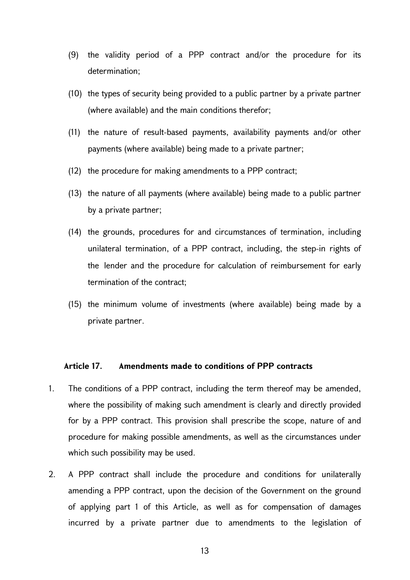- (9) the validity period of a PPP contract and/or the procedure for its determination;
- (10) the types of security being provided to a public partner by a private partner (where available) and the main conditions therefor;
- (11) the nature of result-based payments, availability payments and/or other payments (where available) being made to a private partner;
- (12) the procedure for making amendments to a PPP contract;
- (13) the nature of all payments (where available) being made to a public partner by a private partner;
- (14) the grounds, procedures for and circumstances of termination, including unilateral termination, of a PPP contract, including, the step-in rights of the lender and the procedure for calculation of reimbursement for early termination of the contract;
- (15) the minimum volume of investments (where available) being made by a private partner.

### **Article 17. Amendments made to conditions of PPP contracts**

- 1. The conditions of a PPP contract, including the term thereof may be amended, where the possibility of making such amendment is clearly and directly provided for by a PPP contract. This provision shall prescribe the scope, nature of and procedure for making possible amendments, as well as the circumstances under which such possibility may be used.
- 2. A PPP contract shall include the procedure and conditions for unilaterally amending a PPP contract, upon the decision of the Government on the ground of applying part 1 of this Article, as well as for compensation of damages incurred by a private partner due to amendments to the legislation of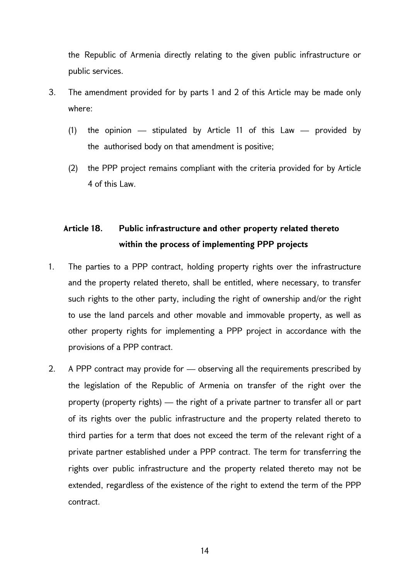the Republic of Armenia directly relating to the given public infrastructure or public services.

- 3. The amendment provided for by parts 1 and 2 of this Article may be made only where:
	- (1) the opinion stipulated by Article 11 of this Law provided by the authorised body on that amendment is positive;
	- (2) the PPP project remains compliant with the criteria provided for by Article 4 of this Law.

# **Article 18. Public infrastructure and other property related thereto within the process of implementing PPP projects**

- 1. The parties to a PPP contract, holding property rights over the infrastructure and the property related thereto, shall be entitled, where necessary, to transfer such rights to the other party, including the right of ownership and/or the right to use the land parcels and other movable and immovable property, as well as other property rights for implementing a PPP project in accordance with the provisions of a PPP contract.
- 2. A PPP contract may provide for observing all the requirements prescribed by the legislation of the Republic of Armenia on transfer of the right over the property (property rights) — the right of a private partner to transfer all or part of its rights over the public infrastructure and the property related thereto to third parties for a term that does not exceed the term of the relevant right of a private partner established under a PPP contract. The term for transferring the rights over public infrastructure and the property related thereto may not be extended, regardless of the existence of the right to extend the term of the PPP contract.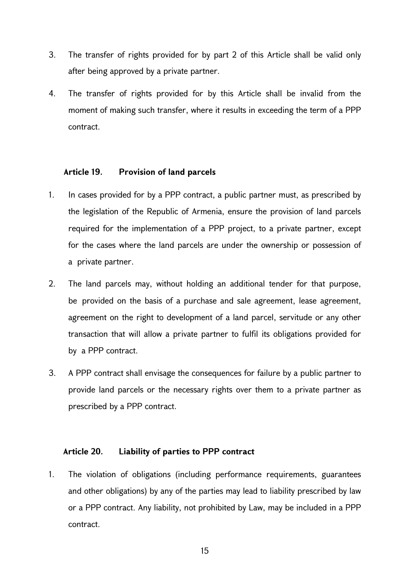- 3. The transfer of rights provided for by part 2 of this Article shall be valid only after being approved by a private partner.
- 4. The transfer of rights provided for by this Article shall be invalid from the moment of making such transfer, where it results in exceeding the term of a PPP contract.

# **Article 19. Provision of land parcels**

- 1. In cases provided for by a PPP contract, a public partner must, as prescribed by the legislation of the Republic of Armenia, ensure the provision of land parcels required for the implementation of a PPP project, to a private partner, except for the cases where the land parcels are under the ownership or possession of a private partner.
- 2. The land parcels may, without holding an additional tender for that purpose, be provided on the basis of a purchase and sale agreement, lease agreement, agreement on the right to development of a land parcel, servitude or any other transaction that will allow a private partner to fulfil its obligations provided for by a PPP contract.
- 3. A PPP contract shall envisage the consequences for failure by a public partner to provide land parcels or the necessary rights over them to a private partner as prescribed by a PPP contract.

# **Article 20. Liability of parties to PPP contract**

1. The violation of obligations (including performance requirements, guarantees and other obligations) by any of the parties may lead to liability prescribed by law or a PPP contract. Any liability, not prohibited by Law, may be included in a PPP contract.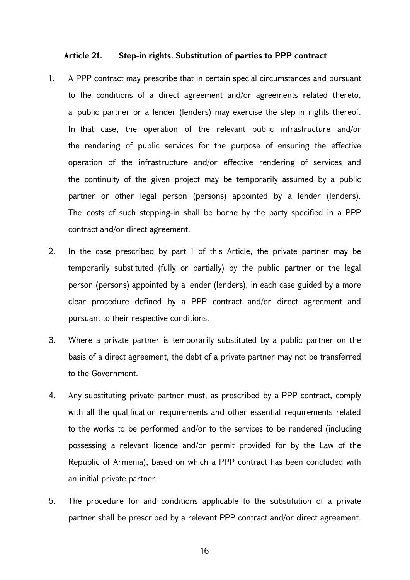### **Article 21. Step-in rights. Substitution of parties to PPP contract**

- 1. A PPP contract may prescribe that in certain special circumstances and pursuant to the conditions of a direct agreement and/or agreements related thereto, a public partner or a lender (lenders) may exercise the step-in rights thereof. In that case, the operation of the relevant public infrastructure and/or the rendering of public services for the purpose of ensuring the effective operation of the infrastructure and/or effective rendering of services and the continuity of the given project may be temporarily assumed by a public partner or other legal person (persons) appointed by a lender (lenders). The costs of such stepping-in shall be borne by the party specified in a PPP contract and/or direct agreement.
- 2. In the case prescribed by part 1 of this Article, the private partner may be temporarily substituted (fully or partially) by the public partner or the legal person (persons) appointed by a lender (lenders), in each case guided by a more clear procedure defined by a PPP contract and/or direct agreement and pursuant to their respective conditions.
- 3. Where a private partner is temporarily substituted by a public partner on the basis of a direct agreement, the debt of a private partner may not be transferred to the Government.
- 4. Any substituting private partner must, as prescribed by a PPP contract, comply with all the qualification requirements and other essential requirements related to the works to be performed and/or to the services to be rendered (including possessing a relevant licence and/or permit provided for by the Law of the Republic of Armenia), based on which a PPP contract has been concluded with an initial private partner.
- 5. The procedure for and conditions applicable to the substitution of a private partner shall be prescribed by a relevant PPP contract and/or direct agreement.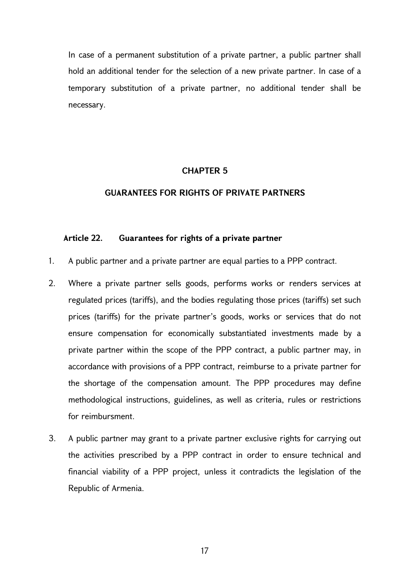In case of a permanent substitution of a private partner, a public partner shall hold an additional tender for the selection of a new private partner. In case of a temporary substitution of a private partner, no additional tender shall be necessary.

### **CHAPTER 5**

### **GUARANTEES FOR RIGHTS OF PRIVATE PARTNERS**

### **Article 22. Guarantees for rights of a private partner**

- 1. A public partner and a private partner are equal parties to a PPP contract.
- 2. Where a private partner sells goods, performs works or renders services at regulated prices (tariffs), and the bodies regulating those prices (tariffs) set such prices (tariffs) for the private partner's goods, works or services that do not ensure compensation for economically substantiated investments made by a private partner within the scope of the PPP contract, a public partner may, in accordance with provisions of a PPP contract, reimburse to a private partner for the shortage of the compensation amount. The PPP procedures may define methodological instructions, guidelines, as well as criteria, rules or restrictions for reimbursment.
- 3. A public partner may grant to a private partner exclusive rights for carrying out the activities prescribed by a PPP contract in order to ensure technical and financial viability of a PPP project, unless it contradicts the legislation of the Republic of Armenia.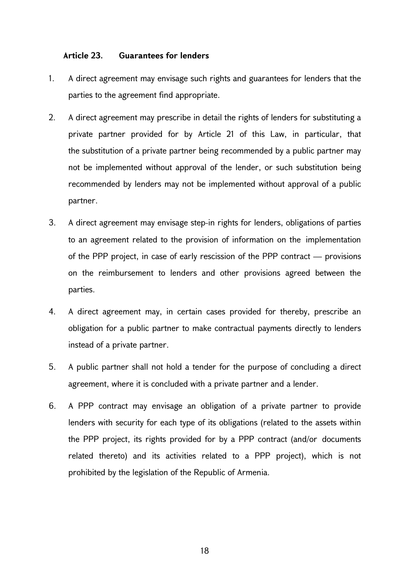### **Article 23. Guarantees for lenders**

- 1. A direct agreement may envisage such rights and guarantees for lenders that the parties to the agreement find appropriate.
- 2. A direct agreement may prescribe in detail the rights of lenders for substituting a private partner provided for by Article 21 of this Law, in particular, that the substitution of a private partner being recommended by a public partner may not be implemented without approval of the lender, or such substitution being recommended by lenders may not be implemented without approval of a public partner.
- 3. A direct agreement may envisage step-in rights for lenders, obligations of parties to an agreement related to the provision of information on the implementation of the PPP project, in case of early rescission of the PPP contract — provisions on the reimbursement to lenders and other provisions agreed between the parties.
- 4. A direct agreement may, in certain cases provided for thereby, prescribe an obligation for a public partner to make contractual payments directly to lenders instead of a private partner.
- 5. A public partner shall not hold a tender for the purpose of concluding a direct agreement, where it is concluded with a private partner and a lender.
- 6. A PPP contract may envisage an obligation of a private partner to provide lenders with security for each type of its obligations (related to the assets within the PPP project, its rights provided for by a PPP contract (and/or documents related thereto) and its activities related to a PPP project), which is not prohibited by the legislation of the Republic of Armenia.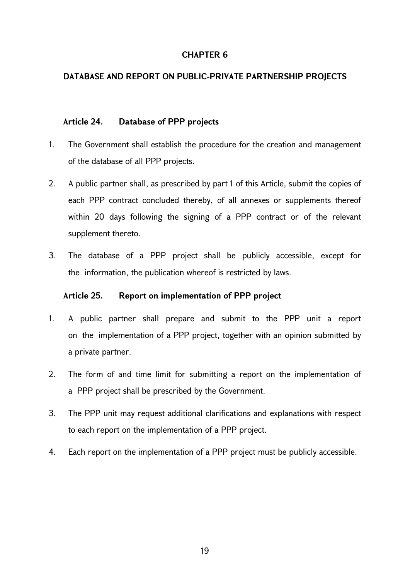# **DATABASE AND REPORT ON PUBLIC-PRIVATE PARTNERSHIP PROJECTS**

# **Article 24. Database of PPP projects**

- 1. The Government shall establish the procedure for the creation and management of the database of all PPP projects.
- 2. A public partner shall, as prescribed by part 1 of this Article, submit the copies of each PPP contract concluded thereby, of all annexes or supplements thereof within 20 days following the signing of a PPP contract or of the relevant supplement thereto.
- 3. The database of a PPP project shall be publicly accessible, except for the information, the publication whereof is restricted by laws.

# **Article 25. Report on implementation of PPP project**

- 1. A public partner shall prepare and submit to the PPP unit a report on the implementation of a PPP project, together with an opinion submitted by a private partner.
- 2. The form of and time limit for submitting a report on the implementation of a PPP project shall be prescribed by the Government.
- 3. The PPP unit may request additional clarifications and explanations with respect to each report on the implementation of a PPP project.
- 4. Each report on the implementation of a PPP project must be publicly accessible.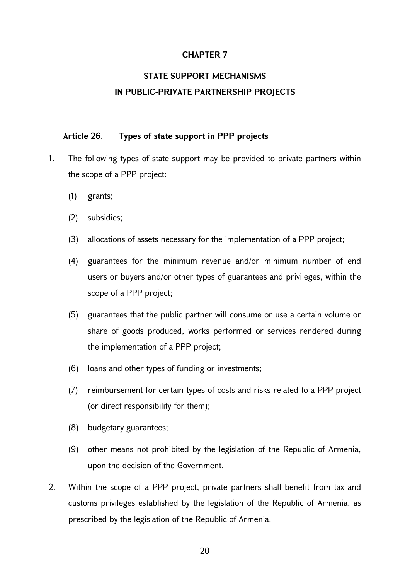# **STATE SUPPORT MECHANISMS IN PUBLIC-PRIVATE PARTNERSHIP PROJECTS**

### **Article 26. Types of state support in PPP projects**

- 1. The following types of state support may be provided to private partners within the scope of a PPP project:
	- (1) grants;
	- (2) subsidies;
	- (3) allocations of assets necessary for the implementation of a PPP project;
	- (4) guarantees for the minimum revenue and/or minimum number of end users or buyers and/or other types of guarantees and privileges, within the scope of a PPP project;
	- (5) guarantees that the public partner will consume or use a certain volume or share of goods produced, works performed or services rendered during the implementation of a PPP project;
	- (6) loans and other types of funding or investments;
	- (7) reimbursement for certain types of costs and risks related to a PPP project (or direct responsibility for them);
	- (8) budgetary guarantees;
	- (9) other means not prohibited by the legislation of the Republic of Armenia, upon the decision of the Government.
- 2. Within the scope of a PPP project, private partners shall benefit from tax and customs privileges established by the legislation of the Republic of Armenia, as prescribed by the legislation of the Republic of Armenia.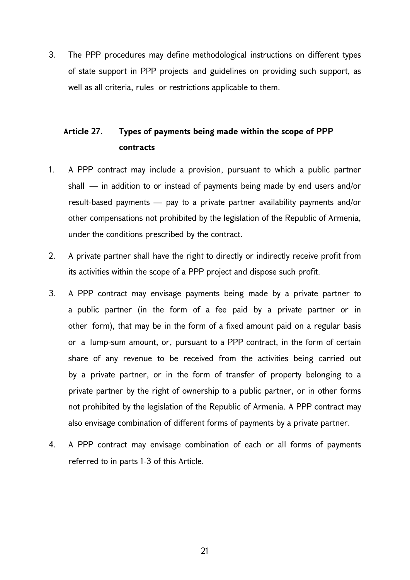3. The PPP procedures may define methodological instructions on different types of state support in PPP projects and guidelines on providing such support, as well as all criteria, rules or restrictions applicable to them.

# **Article 27. Types of payments being made within the scope of PPP contracts**

- 1. A PPP contract may include a provision, pursuant to which a public partner shall — in addition to or instead of payments being made by end users and/or result-based payments — pay to a private partner availability payments and/or other compensations not prohibited by the legislation of the Republic of Armenia, under the conditions prescribed by the contract.
- 2. A private partner shall have the right to directly or indirectly receive profit from its activities within the scope of a PPP project and dispose such profit.
- 3. A PPP contract may envisage payments being made by a private partner to a public partner (in the form of a fee paid by a private partner or in other form), that may be in the form of a fixed amount paid on a regular basis or a lump-sum amount, or, pursuant to a PPP contract, in the form of certain share of any revenue to be received from the activities being carried out by a private partner, or in the form of transfer of property belonging to a private partner by the right of ownership to a public partner, or in other forms not prohibited by the legislation of the Republic of Armenia. A PPP contract may also envisage combination of different forms of payments by a private partner.
- 4. A PPP contract may envisage combination of each or all forms of payments referred to in parts 1-3 of this Article.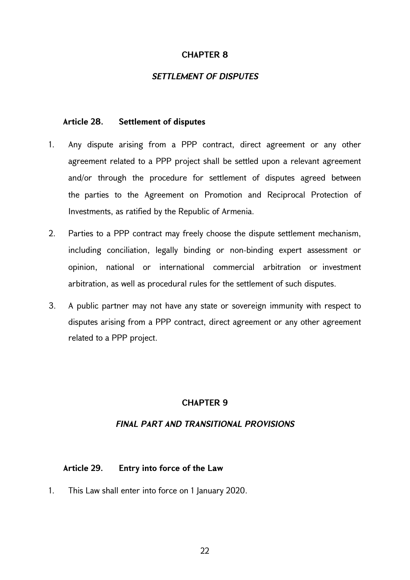# *SETTLEMENT OF DISPUTES*

### **Article 28. Settlement of disputes**

- 1. Any dispute arising from a PPP contract, direct agreement or any other agreement related to a PPP project shall be settled upon a relevant agreement and/or through the procedure for settlement of disputes agreed between the parties to the Agreement on Promotion and Reciprocal Protection of Investments, as ratified by the Republic of Armenia.
- 2. Parties to a PPP contract may freely choose the dispute settlement mechanism, including conciliation, legally binding or non-binding expert assessment or opinion, national or international commercial arbitration or investment arbitration, as well as procedural rules for the settlement of such disputes.
- 3. A public partner may not have any state or sovereign immunity with respect to disputes arising from a PPP contract, direct agreement or any other agreement related to a PPP project.

# **CHAPTER 9**

### *FINAL PART AND TRANSITIONAL PROVISIONS*

### **Article 29. Entry into force of the Law**

1. This Law shall enter into force on 1 January 2020.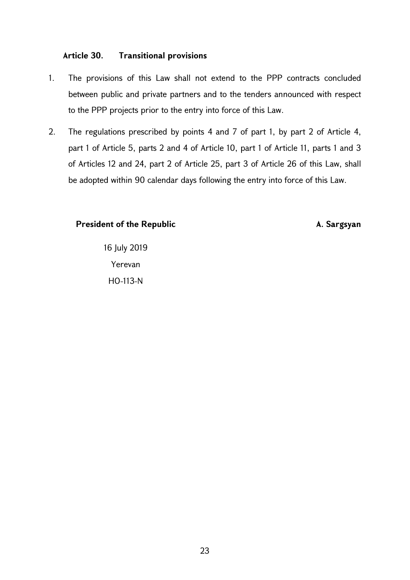# **Article 30. Transitional provisions**

- 1. The provisions of this Law shall not extend to the PPP contracts concluded between public and private partners and to the tenders announced with respect to the PPP projects prior to the entry into force of this Law.
- 2. The regulations prescribed by points 4 and 7 of part 1, by part 2 of Article 4, part 1 of Article 5, parts 2 and 4 of Article 10, part 1 of Article 11, parts 1 and 3 of Articles 12 and 24, part 2 of Article 25, part 3 of Article 26 of this Law, shall be adopted within 90 calendar days following the entry into force of this Law.

### **President of the Republic A. Sargsyan**

16 July 2019 Yerevan HO-113-N